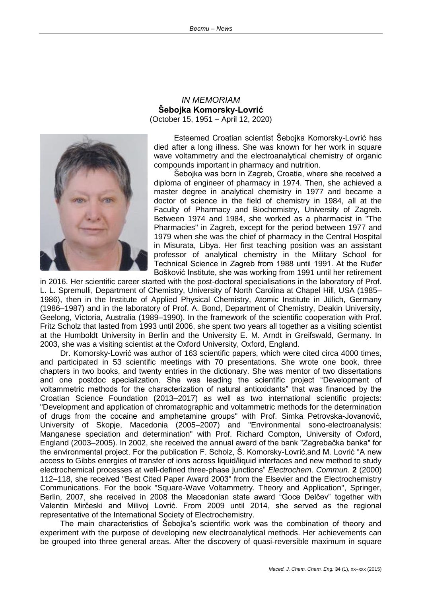

## *IN MEMORIAM* **Šebojka Komorsky-Lovrić** (October 15, 1951 – April 12, 2020)

Esteemed Croatian scientist Šebojka Komorsky-Lovrić has died after a long illness. She was known for her work in square wave voltammetry and the electroanalytical chemistry of organic compounds important in pharmacy and nutrition.

Šebojka was born in Zagreb, Croatia, where she received a diploma of engineer of pharmacy in 1974. Then, she achieved a master degree in analytical chemistry in 1977 and became a doctor of science in the field of chemistry in 1984, all at the Faculty of Pharmacy and Biochemistry, University of Zagreb. Between 1974 and 1984, she worked as a pharmacist in "The Pharmacies" in Zagreb, except for the period between 1977 and 1979 when she was the chief of pharmacy in the Central Hospital in Misurata, Libya. Her first teaching position was an assistant professor of analytical chemistry in the Military School for Technical Science in Zagreb from 1988 until 1991. At the Ruđer Bošković Institute, she was working from 1991 until her retirement

in 2016. Her scientific career started with the post-doctoral specialisations in the laboratory of Prof. L. L. Spremulli, Department of Chemistry, University of North Carolina at Chapel Hill, USA (1985– 1986), then in the Institute of Applied Physical Chemistry, Atomic Institute in Jülich, Germany (1986–1987) and in the laboratory of Prof. A. Bond, Department of Chemistry, Deakin University, Geelong, Victoria, Australia (1989–1990). In the framework of the scientific cooperation with Prof. Fritz Scholz that lasted from 1993 until 2006, she spent two years all together as a visiting scientist at the Humboldt University in Berlin and the University E. M. Arndt in Greifswald, Germany. In 2003, she was a visiting scientist at the Oxford University, Oxford, England.

Dr. Komorsky-Lovrić was author of 163 scientific papers, which were cited circa 4000 times, and participated in 53 scientific meetings with 70 presentations. She wrote one book, three chapters in two books, and twenty entries in the dictionary. She was mentor of two dissertations and one postdoc specialization. She was leading the scientific project "Development of voltammetric methods for the characterization of natural antioxidants" that was financed by the Croatian Science Foundation (2013–2017) as well as two international scientific projects: "Development and application of chromatographic and voltammetric methods for the determination of drugs from the cocaine and amphetamine groups" with Prof. Simka Petrovska-Jovanović, University of Skopje, Macedonia (2005–2007) and "Environmental sono-electroanalysis: Manganese speciation and determination" with Prof. Richard Compton, University of Oxford, England (2003–2005). In 2002, she received the annual award of the bank "Zagrebačka banka" for the environmental project. For the publication F. Scholz, Š. Komorsky-Lovrić,and M. Lovrić "A new access to Gibbs energies of transfer of ions across liquid/liquid interfaces and new method to study electrochemical processes at well-defined three-phase junctions" *Electrochem*. *Commun*. **2** (2000) 112–118, she received "Best Cited Paper Award 2003" from the Elsevier and the Electrochemistry Communications. For the book "Square-Wave Voltammetry. Theory and Application", Springer, Berlin, 2007, she received in 2008 the Macedonian state award "Goce Delčev" together with Valentin Mirčeski and Milivoj Lovrić. From 2009 until 2014, she served as the regional representative of the International Society of Electrochemistry.

The main characteristics of Šebojka's scientific work was the combination of theory and experiment with the purpose of developing new electroanalytical methods. Her achievements can be grouped into three general areas. After the discovery of quasi-reversible maximum in square